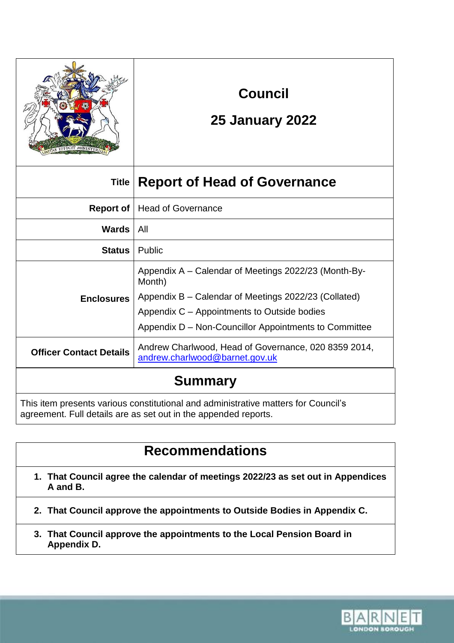| <b>FFICIT MINISTERI</b><br>G1 |
|-------------------------------|
| INT                           |

# **Council**

## **25 January 2022**

| Title                                                                                                                                                 | <b>Report of Head of Governance</b>                                                                                                                                                                                            |
|-------------------------------------------------------------------------------------------------------------------------------------------------------|--------------------------------------------------------------------------------------------------------------------------------------------------------------------------------------------------------------------------------|
| Report of                                                                                                                                             | <b>Head of Governance</b>                                                                                                                                                                                                      |
| Wards                                                                                                                                                 | All                                                                                                                                                                                                                            |
| <b>Status</b>                                                                                                                                         | Public                                                                                                                                                                                                                         |
| <b>Enclosures</b>                                                                                                                                     | Appendix A – Calendar of Meetings 2022/23 (Month-By-<br>Month)<br>Appendix B – Calendar of Meetings 2022/23 (Collated)<br>Appendix C – Appointments to Outside bodies<br>Appendix D – Non-Councillor Appointments to Committee |
| <b>Officer Contact Details</b>                                                                                                                        | Andrew Charlwood, Head of Governance, 020 8359 2014,<br>andrew.charlwood@barnet.gov.uk                                                                                                                                         |
| <b>Summary</b>                                                                                                                                        |                                                                                                                                                                                                                                |
| This item presents various constitutional and administrative matters for Council's<br>agreement. Full details are as set out in the appended reports. |                                                                                                                                                                                                                                |

# **Recommendations**

- **1. That Council agree the calendar of meetings 2022/23 as set out in Appendices A and B.**
- **2. That Council approve the appointments to Outside Bodies in Appendix C.**
- **3. That Council approve the appointments to the Local Pension Board in Appendix D.**

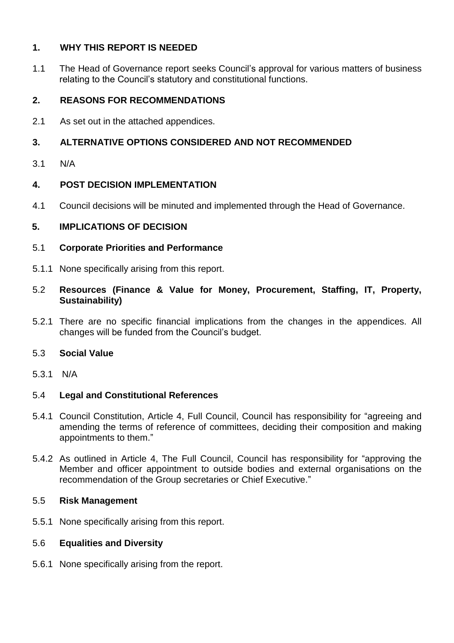## **1. WHY THIS REPORT IS NEEDED**

1.1 The Head of Governance report seeks Council's approval for various matters of business relating to the Council's statutory and constitutional functions.

## **2. REASONS FOR RECOMMENDATIONS**

2.1 As set out in the attached appendices.

## **3. ALTERNATIVE OPTIONS CONSIDERED AND NOT RECOMMENDED**

3.1 N/A

#### **4. POST DECISION IMPLEMENTATION**

4.1 Council decisions will be minuted and implemented through the Head of Governance.

#### **5. IMPLICATIONS OF DECISION**

#### 5.1 **Corporate Priorities and Performance**

- 5.1.1 None specifically arising from this report.
- 5.2 **Resources (Finance & Value for Money, Procurement, Staffing, IT, Property, Sustainability)**
- 5.2.1 There are no specific financial implications from the changes in the appendices. All changes will be funded from the Council's budget.

#### 5.3 **Social Value**

5.3.1 N/A

### 5.4 **Legal and Constitutional References**

- 5.4.1 Council Constitution, Article 4, Full Council, Council has responsibility for "agreeing and amending the terms of reference of committees, deciding their composition and making appointments to them."
- 5.4.2 As outlined in Article 4, The Full Council, Council has responsibility for "approving the Member and officer appointment to outside bodies and external organisations on the recommendation of the Group secretaries or Chief Executive."

#### 5.5 **Risk Management**

5.5.1 None specifically arising from this report.

#### 5.6 **Equalities and Diversity**

5.6.1 None specifically arising from the report.